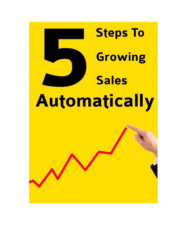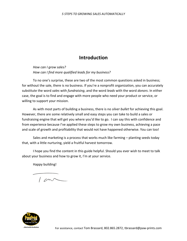#### **Introduction**

*How can I grow sales? How can I find more qualified leads for my business?* 

To no one's surprise, these are two of the most common questions asked in business; for without the sale, there is no business. If you're a nonprofit organization, you can accurately substitute the word *sales* with *fundraising*, and the word *leads* with the word *donors*. In either case, the goal is to find and engage with more people who need your product or service, or willing to support your mission.

As with most parts of building a business, there is no *silver bullet* for achieving this goal. However, there are some relatively small and easy steps you can take to build a sales or fundraising engine that will get you where you'd like to go. I can say this with confidence and from experience because I've applied these steps to grow my own business, achieving a pace and scale of growth and profitability that would not have happened otherwise. You can too!

Sales and marketing is a process that works much like farming – planting seeds today that, with a little nurturing, yield a fruitful harvest tomorrow.

I hope you find the content in this guide helpful. Should you ever wish to meet to talk about your business and how to grow it, I'm at your service.

Happy building!

 $1 cm$ 

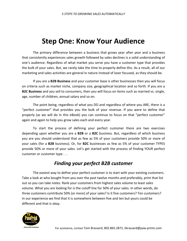## **Step One: Know Your Audience**

The primary difference between a business that grows year after year and a business that consistently experiences sales growth followed by sales declines is a solid understanding of one's audience. Regardless of what market you serve you have a customer type that provides the bulk of your sales. But, we rarely take the time to properly define this. As a result, all of our marketing and sales activities are general in nature instead of laser focused, as they should be.

 If you are a **B2B Business** and your customer base is other businesses then you will focus on criteria such as market niche, company size, geographical location and so forth. If you are a **B2C Business** and you sell to consumers, then you will focus on items such as married vs. single, age, number of children, annual salary and so on.

 The point being, regardless of what you DO and regardless of where you ARE, there is a "perfect customer" that provides you the bulk of your revenue. If you were to define that properly (as we will do in this eBook) you can continue to focus on that "perfect customer" again and again to help you grow sales each and every year.

 To start the process of defining your perfect customer there are two exercises depending upon whether you are a **B2B** or a **B2C** business. But, regardless of which business you are you should understand that as few as 5% of your customers provide 50% or more of your sales (for a **B2B** business). Or, for **B2C** businesses as few as 5% of your customer TYPES provide 50% or more of your sales. Let's get started with the process of finding YOUR perfect customer or customer type . . .

#### *Finding your perfect B2B customer*

The easiest way to define your perfect customer is to start with your existing customers. Take a look at who bought from you over the past twelve months and preferably, print that list out so you can take notes. Rank your customers from highest sales volume to least sales volume. What you are looking for is the cutoff line for 50% of your sales. In other words, do three customers contribute 50% (or more) of your sales? Is it five customers? Ten customers? In our experience we find that it is somewhere between five and ten but yours could be different and that is okay.

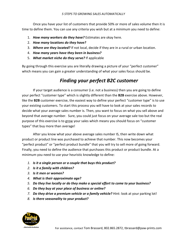Once you have your list of customers that provide 50% or more of sales volume then it is time to define them. You can use any criteria you wish but at a minimum you need to define:

- 1. *How many workers do they have?* Estimates are okay here.
- 2. *How many locations do they have?*
- 3. *Where are they located?* If not local, decide if they are in a rural or urban location.
- 4. *How many years have they been in business?*
- 5. *What market niche do they serve?* If applicable

By going through this exercise you are literally drawing a picture of your "perfect customer" which means you can gain a greater understanding of what your sales focus should be.

#### *Finding your perfect B2C customer*

 If your target audience is a consumer (i.e. not a business) then you are going to define your perfect "customer type" which is slightly different than the **B2B** exercise above. However, like the **B2B** customer exercise, the easiest way to define your perfect "customer type" is to use your existing customers. To start this process you will have to look at your sales records to decide what your average sales number is. Then, you want to focus on what you sell above and beyond that average number. Sure, you could just focus on your average sale too but the real purpose of this exercise is to grow your sales which means you should focus on "customer types" that buy more than average!

 After you know what your above average sales number IS, then write down what product or product line was purchased to achieve that number. This now becomes your "perfect product" or "perfect product bundle" that you will try to sell more of going forward. Finally, you need to define the audience that purchases this product or product bundle. At a minimum you need to use your heuristic knowledge to define:

- *1. Is it a single person or a couple that buys this product?*
- *2. Is it a family with children?*
- *3. Is it men or women?*
- *4. What is their approximate age?*
- *5. Do they live locally or do they make a special effort to come to your business?*
- *6. Do they buy at your place of business or online?*
- *7. Do they drive a premium vehicle or a family vehicle?* Hint: look at your parking lot!
- *8. Is there seasonality to your product?*

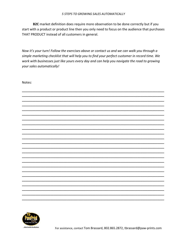B2C market definition does require more observation to be done correctly but if you start with a product or product line then you only need to focus on the audience that purchases THAT PRODUCT instead of all customers in general.

Now it's your turn! Follow the exercises above or contact us and we can walk you through a simple marketing checklist that will help you to find your perfect customer in record time. We work with businesses just like yours every day and can help you navigate the road to growing your sales automatically!

Notes:



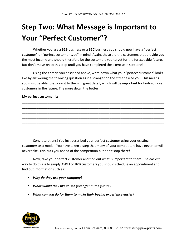## **Step Two: What Message is Important to Your "Perfect Customer"?**

 Whether you are a **B2B** business or a **B2C** business you should now have a "perfect customer" or "perfect customer type" in mind. Again, these are the customers that provide you the most income and should therefore be the customers you target for the foreseeable future. But don't move on to this step until you have completed the exercise in step one!

 Using the criteria you described above, write down what your "perfect customer" looks like by answering the following question as if a stranger on the street asked you. This means you must be able to explain it to them in great detail, which will be important for finding more customers in the future. The more detail the better!

\_\_\_\_\_\_\_\_\_\_\_\_\_\_\_\_\_\_\_\_\_\_\_\_\_\_\_\_\_\_\_\_\_\_\_\_\_\_\_\_\_\_\_\_\_\_\_\_\_\_\_\_\_\_\_\_\_\_\_\_\_\_\_\_\_\_\_\_\_\_\_\_\_\_\_\_\_\_ \_\_\_\_\_\_\_\_\_\_\_\_\_\_\_\_\_\_\_\_\_\_\_\_\_\_\_\_\_\_\_\_\_\_\_\_\_\_\_\_\_\_\_\_\_\_\_\_\_\_\_\_\_\_\_\_\_\_\_\_\_\_\_\_\_\_\_\_\_\_\_\_\_\_\_\_\_\_ \_\_\_\_\_\_\_\_\_\_\_\_\_\_\_\_\_\_\_\_\_\_\_\_\_\_\_\_\_\_\_\_\_\_\_\_\_\_\_\_\_\_\_\_\_\_\_\_\_\_\_\_\_\_\_\_\_\_\_\_\_\_\_\_\_\_\_\_\_\_\_\_\_\_\_\_\_\_ \_\_\_\_\_\_\_\_\_\_\_\_\_\_\_\_\_\_\_\_\_\_\_\_\_\_\_\_\_\_\_\_\_\_\_\_\_\_\_\_\_\_\_\_\_\_\_\_\_\_\_\_\_\_\_\_\_\_\_\_\_\_\_\_\_\_\_\_\_\_\_\_\_\_\_\_\_\_ \_\_\_\_\_\_\_\_\_\_\_\_\_\_\_\_\_\_\_\_\_\_\_\_\_\_\_\_\_\_\_\_\_\_\_\_\_\_\_\_\_\_\_\_\_\_\_\_\_\_\_\_\_\_\_\_\_\_\_\_\_\_\_\_\_\_\_\_\_\_\_\_\_\_\_\_\_\_ \_\_\_\_\_\_\_\_\_\_\_\_\_\_\_\_\_\_\_\_\_\_\_\_\_\_\_\_\_\_\_\_\_\_\_\_\_\_\_\_\_\_\_\_\_\_\_\_\_\_\_\_\_\_\_\_\_\_\_\_\_\_\_\_\_\_\_\_\_\_\_\_\_\_\_\_\_\_ \_\_\_\_\_\_\_\_\_\_\_\_\_\_\_\_\_\_\_\_\_\_\_\_\_\_\_\_\_\_\_\_\_\_\_\_\_\_\_\_\_\_\_\_\_\_\_\_\_\_\_\_\_\_\_\_\_\_\_\_\_\_\_\_\_\_\_\_\_\_\_\_\_\_\_\_\_\_

#### **My perfect customer is:**

 Congratulations! You just described your perfect customer using your existing customers as a model. You have taken a step that many of your competitors have never, or will never take. This puts you ahead of the competition but don't stop there!

 Now, take your perfect customer and find out what is important to them. The easiest way to do this is to simply ASK! For **B2B** customers you should schedule an appointment and find out information such as:

- *Why do they use your company?*
- *What would they like to see you offer in the future?*
- *What can you do for them to make their buying experience easier?*

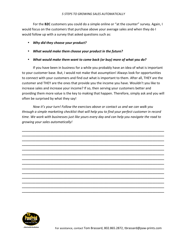For the **B2C** customers you could do a simple online or "at the counter" survey. Again, I would focus on the customers that purchase above your average sales and when they do I would follow up with a survey that asked questions such as:

- *Why did they choose your product?*
- *What would make them choose your product in the future?*
- *What would make them want to come back (or buy) more of what you do?*

 If you have been in business for a while you probably have an idea of what is important to your customer base. But, I would not make that assumption! Always look for opportunities to connect with your customers and find out what is important to them. After all, THEY are the customer and THEY are the ones that provide you the income you have. Wouldn't you like to increase sales and increase your income? If so, then serving your customers better and providing them more value is the key to making that happen. Therefore, simply ask and you will often be surprised by what they say!

*Now it's your turn! Follow the exercises above or contact us and we can walk you through a simple marketing checklist that will help you to find your perfect customer in record time. We work with businesses just like yours every day and can help you navigate the road to growing your sales automatically!* 

**\_\_\_\_\_\_\_\_\_\_\_\_\_\_\_\_\_\_\_\_\_\_\_\_\_\_\_\_\_\_\_\_\_\_\_\_\_\_\_\_\_\_\_\_\_\_\_\_\_\_\_\_\_\_\_\_\_\_\_\_\_\_\_\_\_\_\_\_\_\_\_\_\_\_\_\_\_\_\_\_\_\_\_\_\_ \_\_\_\_\_\_\_\_\_\_\_\_\_\_\_\_\_\_\_\_\_\_\_\_\_\_\_\_\_\_\_\_\_\_\_\_\_\_\_\_\_\_\_\_\_\_\_\_\_\_\_\_\_\_\_\_\_\_\_\_\_\_\_\_\_\_\_\_\_\_\_\_\_\_\_\_\_\_\_\_\_\_\_\_\_ \_\_\_\_\_\_\_\_\_\_\_\_\_\_\_\_\_\_\_\_\_\_\_\_\_\_\_\_\_\_\_\_\_\_\_\_\_\_\_\_\_\_\_\_\_\_\_\_\_\_\_\_\_\_\_\_\_\_\_\_\_\_\_\_\_\_\_\_\_\_\_\_\_\_\_\_\_\_\_\_\_\_\_\_\_ \_\_\_\_\_\_\_\_\_\_\_\_\_\_\_\_\_\_\_\_\_\_\_\_\_\_\_\_\_\_\_\_\_\_\_\_\_\_\_\_\_\_\_\_\_\_\_\_\_\_\_\_\_\_\_\_\_\_\_\_\_\_\_\_\_\_\_\_\_\_\_\_\_\_\_\_\_\_\_\_\_\_\_\_\_ \_\_\_\_\_\_\_\_\_\_\_\_\_\_\_\_\_\_\_\_\_\_\_\_\_\_\_\_\_\_\_\_\_\_\_\_\_\_\_\_\_\_\_\_\_\_\_\_\_\_\_\_\_\_\_\_\_\_\_\_\_\_\_\_\_\_\_\_\_\_\_\_\_\_\_\_\_\_\_\_\_\_\_\_\_ \_\_\_\_\_\_\_\_\_\_\_\_\_\_\_\_\_\_\_\_\_\_\_\_\_\_\_\_\_\_\_\_\_\_\_\_\_\_\_\_\_\_\_\_\_\_\_\_\_\_\_\_\_\_\_\_\_\_\_\_\_\_\_\_\_\_\_\_\_\_\_\_\_\_\_\_\_\_\_\_\_\_\_\_\_ \_\_\_\_\_\_\_\_\_\_\_\_\_\_\_\_\_\_\_\_\_\_\_\_\_\_\_\_\_\_\_\_\_\_\_\_\_\_\_\_\_\_\_\_\_\_\_\_\_\_\_\_\_\_\_\_\_\_\_\_\_\_\_\_\_\_\_\_\_\_\_\_\_\_\_\_\_\_\_\_\_\_\_\_\_ \_\_\_\_\_\_\_\_\_\_\_\_\_\_\_\_\_\_\_\_\_\_\_\_\_\_\_\_\_\_\_\_\_\_\_\_\_\_\_\_\_\_\_\_\_\_\_\_\_\_\_\_\_\_\_\_\_\_\_\_\_\_\_\_\_\_\_\_\_\_\_\_\_\_\_\_\_\_\_\_\_\_\_\_\_ \_\_\_\_\_\_\_\_\_\_\_\_\_\_\_\_\_\_\_\_\_\_\_\_\_\_\_\_\_\_\_\_\_\_\_\_\_\_\_\_\_\_\_\_\_\_\_\_\_\_\_\_\_\_\_\_\_\_\_\_\_\_\_\_\_\_\_\_\_\_\_\_\_\_\_\_\_\_\_\_\_\_\_\_\_ \_\_\_\_\_\_\_\_\_\_\_\_\_\_\_\_\_\_\_\_\_\_\_\_\_\_\_\_\_\_\_\_\_\_\_\_\_\_\_\_\_\_\_\_\_\_\_\_\_\_\_\_\_\_\_\_\_\_\_\_\_\_\_\_\_\_\_\_\_\_\_\_\_\_\_\_\_\_\_\_\_\_\_\_\_ \_\_\_\_\_\_\_\_\_\_\_\_\_\_\_\_\_\_\_\_\_\_\_\_\_\_\_\_\_\_\_\_\_\_\_\_\_\_\_\_\_\_\_\_\_\_\_\_\_\_\_\_\_\_\_\_\_\_\_\_\_\_\_\_\_\_\_\_\_\_\_\_\_\_\_\_\_\_\_\_\_\_\_\_\_ \_\_\_\_\_\_\_\_\_\_\_\_\_\_\_\_\_\_\_\_\_\_\_\_\_\_\_\_\_\_\_\_\_\_\_\_\_\_\_\_\_\_\_\_\_\_\_\_\_\_\_\_\_\_\_\_\_\_\_\_\_\_\_\_\_\_\_\_\_\_\_\_\_\_\_\_\_\_\_\_\_\_\_\_\_ \_\_\_\_\_\_\_\_\_\_\_\_\_\_\_\_\_\_\_\_\_\_\_\_\_\_\_\_\_\_\_\_\_\_\_\_\_\_\_\_\_\_\_\_\_\_\_\_\_\_\_\_\_\_\_\_\_\_\_\_\_\_\_\_\_\_\_\_\_\_\_\_\_\_\_\_\_\_\_\_\_\_\_\_\_ \_\_\_\_\_\_\_\_\_\_\_\_\_\_\_\_\_\_\_\_\_\_\_\_\_\_\_\_\_\_\_\_\_\_\_\_\_\_\_\_\_\_\_\_\_\_\_\_\_\_\_\_\_\_\_\_\_\_\_\_\_\_\_\_\_\_\_\_\_\_\_\_\_\_\_\_\_\_\_\_\_\_\_\_\_**

![](_page_6_Picture_7.jpeg)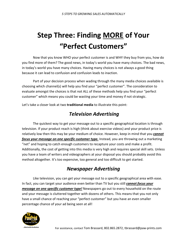# **Step Three: Finding MORE of Your "Perfect Customers"**

 Now that you know WHO your perfect customer is and WHY they buy from you, how do you find more of them? The good news, in today's world you have many choices. The bad news, in today's world you have many choices. Having many choices is not always a good thing because it can lead to confusion and confusion leads to inaction.

 Part of your decision process when wading through the many media choices available is choosing which channel(s) will help you find your "perfect customer". The consideration to evaluate amongst the choices is that not ALL of these methods help you find your "perfect customer" which means you could be wasting your time and money if not strategic.

Let's take a closer look at two **traditional media** to illustrate this point:

### *Television Advertising*

 The quickest way to get your message out to a specific geographical location is through television. If your product reach is high (think about exercise videos) and your product price is relatively low then this may be your medium of choice. However, keep in mind that you *cannot focus your message on one specific customer type.* Instead, you are throwing out a marketing "net" and hoping to catch enough customers to recapture your costs and make a profit. Additionally, the cost of getting into this media is very high and requires special skill sets. Unless you have a team of writers and videographers at your disposal you should probably avoid this method altogether. It's too expensive, too general and too difficult to get started.

## *Newspaper Advertising*

 Like television, you can get your message out to a specific geographical area with ease. In fact, you can target your audience even better than TV but you still *cannot focus your message on one specific customer type!* Newspapers go out to every household on the route and your message is cluttered together with dozens of others. This means that you not only have a small chance of reaching your "perfect customer" but you have an even smaller percentage chance of your ad being seen at all!

![](_page_7_Picture_9.jpeg)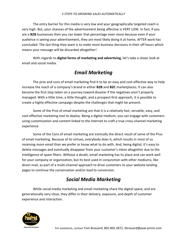The entry barrier for this media is very low and your geographically targeted reach is very high. But, your chances of the advertisement being affective is VERY LOW. In fact, if you are a **B2B** businesses then you can lower that percentage even more because even if your audience is seeing your advertisement, they are most likely doing it at home, AFTER work has concluded. The last thing they want is to make more business decisions in their off hours which means your message will be discarded altogether!

 With regards to **digital forms of marketing and advertising**, let's take a closer look at email and social media.

#### *Email Marketing*

The pros and cons of email marketing find it to be an easy and cost-effective way to help increase the reach of a company's brand in either **B2B** and **B2C** marketplaces. It can also become the first step taken on a journey toward disaster if the negatives aren't properly managed. With a little time, a little thought, and a prospect-first approach, it is possible to create a highly effective campaign despite the challenges that might be present.

Some of the Pros of email marketing are that it is a relatively fast, versatile, easy, and cost-effective marketing tool to deploy. Being a digital medium, you can engage with customers using customization and content linked to the Internet to craft a true cross-channel marketing experience.

Some of the Cons of email marketing are ironically the direct result of some of the Pros of email marketing. Because of its virtues, everybody does it, which results in most of us receiving more email than we prefer or know what to do with. And, being digital, it's easy to delete messages and eventually disappear from your customer's inbox altogether due to the intelligence of spam filters. Without a doubt, email marketing has its place and can work well for your company or organization, but its best used in conjunction with other mediums, like direct mail, as part of a multi-channel approach to drive customers to your website landing pages to continue the conversation and/or lead to conversion.

### *Social Media Marketing*

While social media marketing and email marketing share the digital space, and are generationally very close, they differ in their delivery, exposure, and depth of customer experience and interaction.

![](_page_8_Picture_9.jpeg)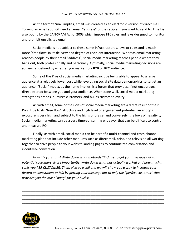As the term "e"mail implies, email was created as an electronic version of direct mail. To send an email you still need an email "address" of the recipient you want to send to. Email is also bound by the CAN-SPAM Act of 2003 which impose FTC rules and laws designed to monitor and prohibit unsolicited email.

Social media is not subject to these same infrastructures, laws or rules and is much more "free flow" in its delivery and degree of recipient interaction. Whereas email marketing reaches people by their email "address", social media marketing reaches people where they hang out, both professionally and personally. Optimally, social media marketing decisions are somewhat defined by whether you market to a **B2B** or **B2C** audience.

Some of the Pros of social media marketing include being able to appeal to a large audience at a relatively lower cost while leveraging social site data demographics to target an audience. "Social" media, as the name implies, is a forum that provides, if not encourages, direct interact between you and your audience. When done well, social media marketing strengthens brands, nurtures customers, and builds customer loyalty.

As with email, some of the Cons of social media marketing are a direct result of their Pros. Due to its "free flow" structure and high level of engagement potential, an entity's exposure is very high and subject to the highs of praise, and conversely, the lows of negativity. Social media marketing can be a very time-consuming endeavor that can be difficult to control, and measure ROI.

Finally, as with email, social media can be part of a multi-channel and cross-channel marketing plan that include other mediums such as direct mail, print, and television all working together to drive people to your website landing pages to continue the conversation and incentivize conversion.

*Now it's your turn! Write down what methods YOU use to get your message out to potential customers. More importantly, write down what has actually worked and how much it costs you PER CUSTOMER. Then, give us a call and we will show you a way to increase your Return on Investment or ROI by getting your message out to only the "perfect customer" that provides you the most "bang" for your bucks!*

\_\_\_\_\_\_\_\_\_\_\_\_\_\_\_\_\_\_\_\_\_\_\_\_\_\_\_\_\_\_\_\_\_\_\_\_\_\_\_\_\_\_\_\_\_\_\_\_\_\_\_\_\_\_\_\_\_\_\_\_\_\_\_\_\_\_\_\_\_\_\_\_\_\_\_\_\_\_\_\_\_\_\_\_\_ \_\_\_\_\_\_\_\_\_\_\_\_\_\_\_\_\_\_\_\_\_\_\_\_\_\_\_\_\_\_\_\_\_\_\_\_\_\_\_\_\_\_\_\_\_\_\_\_\_\_\_\_\_\_\_\_\_\_\_\_\_\_\_\_\_\_\_\_\_\_\_\_\_\_\_\_\_\_\_\_\_\_\_\_\_ \_\_\_\_\_\_\_\_\_\_\_\_\_\_\_\_\_\_\_\_\_\_\_\_\_\_\_\_\_\_\_\_\_\_\_\_\_\_\_\_\_\_\_\_\_\_\_\_\_\_\_\_\_\_\_\_\_\_\_\_\_\_\_\_\_\_\_\_\_\_\_\_\_\_\_\_\_\_\_\_\_\_\_\_\_ \_\_\_\_\_\_\_\_\_\_\_\_\_\_\_\_\_\_\_\_\_\_\_\_\_\_\_\_\_\_\_\_\_\_\_\_\_\_\_\_\_\_\_\_\_\_\_\_\_\_\_\_\_\_\_\_\_\_\_\_\_\_\_\_\_\_\_\_\_\_\_\_\_\_\_\_\_\_\_\_\_\_\_\_\_ \_\_\_\_\_\_\_\_\_\_\_\_\_\_\_\_\_\_\_\_\_\_\_\_\_\_\_\_\_\_\_\_\_\_\_\_\_\_\_\_\_\_\_\_\_\_\_\_\_\_\_\_\_\_\_\_\_\_\_\_\_\_\_\_\_\_\_\_\_\_\_\_\_\_\_\_\_\_\_\_\_\_\_\_\_ \_\_\_\_\_\_\_\_\_\_\_\_\_\_\_\_\_\_\_\_\_\_\_\_\_\_\_\_\_\_\_\_\_\_\_\_\_\_\_\_\_\_\_\_\_\_\_\_\_\_\_\_\_\_\_\_\_\_\_\_\_\_\_\_\_\_\_\_\_\_\_\_\_\_\_\_\_\_\_\_\_\_\_\_\_

![](_page_9_Picture_7.jpeg)

For assistance, contact Tom Brassard, 802.865.2872, tbrassard@paw-prints.com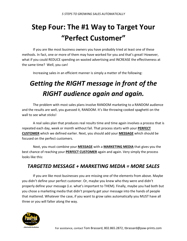# **Step Four: The #1 Way to Target Your "Perfect Customer"**

 If you are like most business owners you have probably tried at least one of these methods. In fact, one or more of them may have worked for you and that's great! However, what if you could REDUCE spending on wasted advertising and INCREASE the effectiveness at the same time? Well, you can!

Increasing sales in an efficient manner is simply a matter of the following:

## *Getting the RIGHT message in front of the RIGHT audience again and again.*

 The problem with most sales plans involve RANDOM marketing to a RANDOM audience and the results are well, you guessed it, RANDOM. It's like throwing cooked spaghetti on the wall to see what sticks!

 A real sales plan that produces real results time and time again involves a process that is repeated each day, week or month without fail. That process starts with your **PERFECT CUSTOMER** which we defined earlier. Next, you should add your **MESSAGE** which should be focused on the perfect customers.

 Next, you must combine your **MESSAGE** with a **MARKETING MEDIA** that gives you the best chance of reaching your **PERFECT CUSTOMER** again and again. Very simply the process looks like this:

#### *TARGETED MESSAGE + MARKETING MEDIA = MORE SALES*

 If you are like most businesses you are missing one of the elements from above. Maybe you didn't define your perfect customer. Or, maybe you knew who they were and didn't properly define your message (i.e. what's important to THEM). Finally, maybe you had both but you chose a marketing media that didn't properly get your message into the hands of people that mattered. Whatever the case, if you want to grow sales automatically you MUST have all three or you will falter along the way.

![](_page_10_Picture_10.jpeg)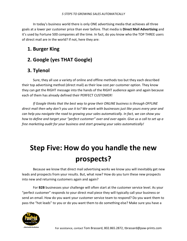In today's business world there is only ONE advertising media that achieves all three goals at a lower per customer price than ever before. That media is **Direct Mail Advertising** and it's used by Fortune 500 companies all the time. In fact, do you know who the TOP THREE users of direct mail are in the world? If not, here they are:

### **1. Burger King**

### **2. Google (yes THAT Google)**

### **3. Tylenol**

 Sure, they all use a variety of online and offline methods too but they each described their top advertising method (direct mail) as their low cost per customer option. They know they can get the RIGHT message into the hands of the RIGHT audience again and again because each of them has already defined their PERFECT CUSTOMER!

*If Google thinks that the best way to grow their ONLINE business is through OFFLINE direct mail then why don't you use it to? We work with businesses just like yours every year and can help you navigate the road to growing your sales automatically. In fact, we can show you how to define and target your "perfect customer" over and over again. Give us a call to set up a free marketing audit for your business and start growing your sales automatically!* 

## **Step Five: How do you handle the new prospects?**

Because we know that direct mail advertising works we know you will inevitably get new leads and prospects from your results. But, what now? How do you turn these new prospects into new and returning customers again and again?

 For **B2B** businesses your challenge will often start at the customer service level. As your "perfect customer" responds to your direct mail piece they will typically call your business or send an email. How do you want your customer service team to respond? Do you want them to pass the "hot leads" to you or do you want them to do something else? Make sure you have a

![](_page_11_Picture_10.jpeg)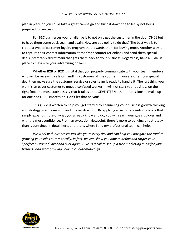plan in place or you could take a great campaign and flush it down the toilet by not being prepared for success.

 For **B2C** businesses your challenge is to not only get the customer in the door ONCE but to have them come back again and again. How are you going to do that? The best way is to create a type of customer loyalty program that rewards them for buying more. Another way is to capture their contact information at the front counter (or online) and send them special deals (preferably direct mail) that gets them back to your business. Regardless, have a PLAN in place to maximize your advertising dollars!

 Whether **B2B** or **B2C** it is vital that you properly communicate with your team members who will be receiving calls or handling customers at the counter. If you are offering a special deal then make sure the customer service or sales team is ready to handle it! The last thing you want is an eager customer to meet a confused worker! It will not start your business on the right foot and most statistics say that it takes up to SEVENTEEN other impressions to make up for one bad FIRST impression. Don't let that be you!

 This guide is written to help you get started by channeling your business growth thinking and strategy in a meaningful and proven direction. By applying a customer-centric process that simply expands more of what you already know and do, you will reach your goals quicker and with the most confidence. From an execution viewpoint, there is more to building this strategy than is contained in detail here, and that's where I and my professional team can help.

 *We work with businesses just like yours every day and can help you navigate the road to growing your sales automatically. In fact, we can show you how to define and target your "perfect customer" over and over again. Give us a call to set up a free marketing audit for your business and start growing your sales automatically!* 

![](_page_12_Picture_6.jpeg)